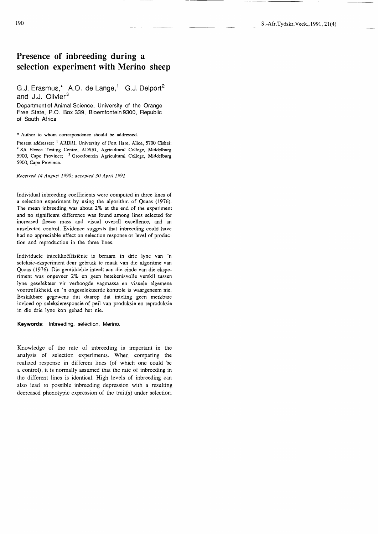# Presence of inbreeding during a selection experiment with Merino sheep

## G.J. Erasmus,\* A.O. de Lange,<sup>1</sup> G.J. Delport<sup>2</sup> and J.J. Olivier<sup>3</sup>

Department of Animal Science, University of the Orange Free State, P.O. Box 339, Bloemfontein 9300, Republic of South Africa

## \* Author to whom correspondence should be addressed.

Present addresses: <sup>1</sup> ARDRI, University of Fort Hare, Alice, 5700 Ciskei; <sup>2</sup> SA Fleece Testing Centre, ADSRI, Agricultural College, Middelburg 5900, Cape Province; <sup>3</sup> Grootfontein Agricultural College, Middelburg 5900, Cape Province.

#### Received l4 August 1990; accepted 30 April 1991

Individual inbreeding coefficients were computed in three lines of a selection experiment by using the algorithm of Quaas (1976). The mean inbreeding was about  $2\%$  at the end of the experiment and no significant difference was found among lines selected for increased fleece mass and visual overall excellence, and an unselected control. Evidence suggests that inbreeding could have had no appreciable effect on selection response or level of production and reproduction in the three lines.

Individuele inteeltkoëffisiënte is beraam in drie lyne van 'n seleksie-eksperiment deur gebruik te maak van die algoritme van Quaas (L976). Die gemiddelde inteelt aan die einde van die eksperiment was ongeveer 2% en geen betekenisvolle verskil tussen lyne geselekteer vir verhoogde vagmassa en visuele algemene voortreflikheid, en 'n ongeselekteerde kontrole is waargeneem nie. Beskikbare gegewens dui daarop dat inteling geen merkbare invloed op seleksieresponsie of peil van produksie en reproduksie in die drie lyne kon gehad het nie.

Keywords: lnbreeding, selection, Merino.

Knowledge of the rate of inbreeding is important in the analysis of selection experiments. When comparing the realized response in different lines (of which one could be a control), it is normally assumed that the rate of inbreeding in the different lines is identical. High levels of inbreeding can also lead to possible inbreeding depression with a resulting decreased phenotypic expression of the trait(s) under selection.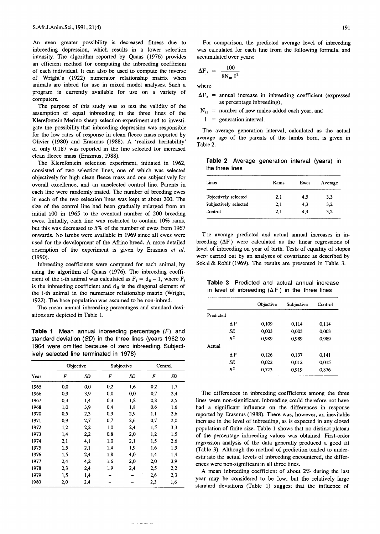An even greater possibility is decreased fitness due to inbreeding depression, which results in a lower selection intensity. The algorithm reported by Quaas (1976) provides an efficient method for computing the inbreeding coefficient of each individual. It can also be used to compute the inverse of Wright's (1922) numerator relationship matrix when animals are inbred for use in mixed model analyses. Such a program is currently available for use on a variety of computers.

The purpose of this study was to test the validity of the assumption of equal inbreeding in the three lines of the Klerefontein Merino sheep selection experiment and to investigate the possibility that inbreeding depression was responsible for the low rates of response in clean fleece mass reported by Olivier (1980) and Erasmus (1988). A 'realized heritability' of only 0,187 was reported in the line selected for increased clean fleece mass (Erasmus, 1988).

The Klerefontein selection experiment, initiated in 1962, consisted of two selection lines, one of which was selected objectively for high clean fleece mass and one subjectively for overall excellence, and an unselected control line. Parents in each line were randomly mated. The number of breeding ewes in each of the two selection lines was kept at about 200. The size of the control line had been gradually enlarged from an initial 100 in 1965 to the eventual number of 200 breeding ewes. Initially, each line was restricted to contain 10% rams, but this was decreased to 5% of the number of ewes from 1967 onwards. No lambs were available in 1969 since all ewes were used for the development of the Afrino breed. A more detailed description of the experiment is given by Erasmus *et ai.* (1990).

Inbreeding coefficients were computed for each animal, by using the algorithm of Quaas (1976). The inbreeding coefficient of the i-th animal was calculated as  $F_i = d_{ii} - 1$ , where  $F_i$ is the inbreeding coefficient and  $d_{ii}$  is the diagonal element of the i-th animal in the numerator relationship matrix (Wright, 1922).The base population was assumed to be non-inbred.

The mean annual inbreeding percentages and standard deviations are depicted in Table 1.

**Table 1** Mean annual inbreeding percentage *(F)* and standard deviation *(5D)* in the three lines (years 1962 to 1964 were omitted because of zero inbreeding. Subjectively selected line terminated in 1978)

|      | Objective |     | Subjective |     | Control  |     |
|------|-----------|-----|------------|-----|----------|-----|
| Year | F         | SD  | F          | SD  | F        | SD  |
| 1965 | 0,0       | 0,0 | 0,2        | 1,6 | $_{0,2}$ | 1,7 |
| 1966 | 0,9       | 3,9 | 0,0        | 0,0 | 0,7      | 2,4 |
| 1967 | 0,3       | 1,4 | 0,3        | 1,8 | 0,8      | 2,5 |
| 1968 | 1,0       | 3,9 | 0,4        | 1,8 | 0,6      | 1,6 |
| 1970 | 0,5       | 2,3 | 0,9        | 2,9 | 1,1      | 2,6 |
| 1971 | 0,9       | 2,7 | 0,7        | 2,6 | 0,7      | 2,0 |
| 1972 | 1,2       | 2,2 | 1,0        | 2,4 | 1,5      | 3,3 |
| 1973 | 1,4       | 2,2 | 0,8        | 2,0 | 1,2      | 1,5 |
| 1974 | 2,1       | 4,1 | 1,0        | 2,1 | 1,5      | 2,6 |
| 1975 | 1,5       | 2,1 | 1,4        | 1,9 | 1,6      | 1,9 |
| 1976 | 1,5       | 2,4 | 1,8        | 4,0 | 1,4      | 1,4 |
| 1977 | 2,4       | 4,2 | 1,6        | 2,0 | 2,0      | 3,9 |
| 1978 | 2,3       | 2,4 | 1,9        | 2,4 | 2,5      | 2,2 |
| 1979 | 1,5       | 1,4 |            |     | 2,6      | 2,3 |
| 1980 | 2,0       | 2,4 |            |     | 2,3      | 1,6 |

For comparison, the predicted average level of inbreeding was calculated for each line from the following formula, and accumulated over years:

$$
\Delta F_a = \frac{100}{8N_m I^2}
$$

where

- $\Delta F_a$  = annual increase in inbreeding coefficient (expressed as percentage inbreeding),
- $N_{12}$  = number of new males added each year, and

 $I =$  generation interval.

The average generation interval, calculated as the actual average age of the parents of the lambs born, is given in Table 2.

**Table 2** Average generation interval (years) in the three lines

| $\therefore$ ines     | Rams | Ewes | Average |
|-----------------------|------|------|---------|
| Objectively selected  | 2,1  | 4,5  | 3,3     |
| Subjectively selected | 2,1  | 4.3  | 3,2     |
| Control               | 2.1  | 4.3  | 3.2     |

The average predicted and actual annual increases in inbreeding  $(\Delta F)$  were calculated as the linear regressions of level of inbreeding on year of birth. Tests of equality of slopes were carried out by an analyses of covariance as described by Sokal & Rohlf (1969). The results are presented in Table 3.

**Table 3** Predicted and actual annual increase in level of inbreeding  $(\Delta F)$  in the three lines

|           |                | Objective | Subjective | Control |
|-----------|----------------|-----------|------------|---------|
| Predicted |                |           |            |         |
|           | ΔF             | 0,109     | 0,114      | 0,114   |
|           | SE             | 0,003     | 0.003      | 0,003   |
|           | R <sup>2</sup> | 0.989     | 0,989      | 0,989   |
| Actual    |                |           |            |         |
|           | ΔF             | 0.126     | 0.137      | 0,141   |
|           | SE             | 0,022     | 0.012      | 0.015   |
|           | $R^2$          | 0,723     | 0.919      | 0.876   |

The differences in inbreeding coefficients among the three lines were non-significant. Inbreeding could therefore not have had a significant influence on the differences in response reported by Erasmus (1988). There was, however, an inevitable increase in the level of inbreeding, as is expected in any closed population of finite size. Table 1 shows that no distinct plateau of the percentage inbreeding values was obtained. First-order regression analysis of the data generally produced a good fit (Table 3). Although the method of prediction tended to underestimate the actual levels of inbreeding encountered, the differences were non-significantin all three lines.

A mean inbreeding coefficient of about 2% during the last year may be considered to be low, but the relatively large standard deviations (Table 1) suggest that the influence of